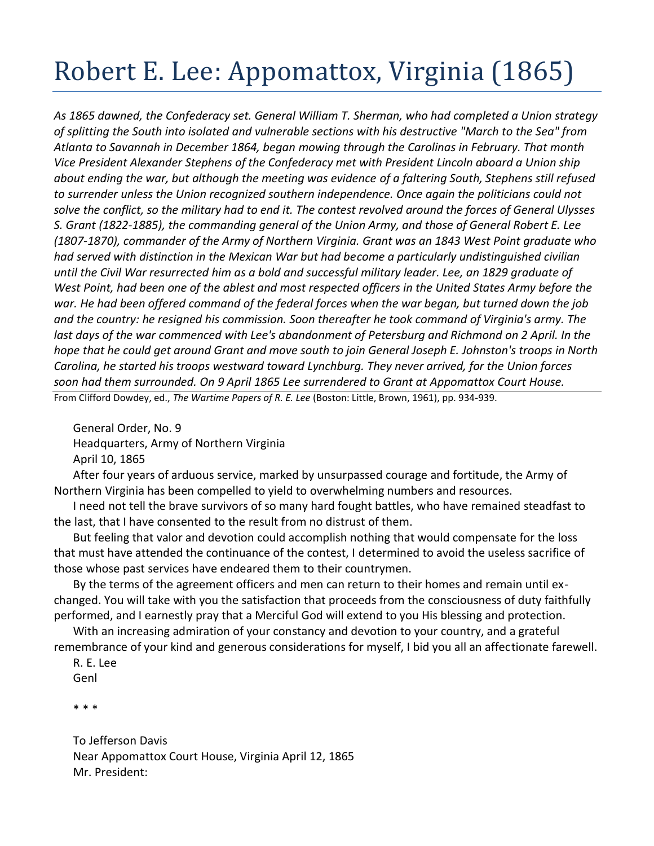## Robert E. Lee: Appomattox, Virginia (1865)

*As 1865 dawned, the Confederacy set. General William T. Sherman, who had completed a Union strategy of splitting the South into isolated and vulnerable sections with his destructive "March to the Sea" from Atlanta to Savannah in December 1864, began mowing through the Carolinas in February. That month Vice President Alexander Stephens of the Confederacy met with President Lincoln aboard a Union ship about ending the war, but although the meeting was evidence of a faltering South, Stephens still refused to surrender unless the Union recognized southern independence. Once again the politicians could not solve the conflict, so the military had to end it. The contest revolved around the forces of General Ulysses S. Grant (1822-1885), the commanding general of the Union Army, and those of General Robert E. Lee (1807-1870), commander of the Army of Northern Virginia. Grant was an 1843 West Point graduate who had served with distinction in the Mexican War but had become a particularly undistinguished civilian until the Civil War resurrected him as a bold and successful military leader. Lee, an 1829 graduate of*  West Point, had been one of the ablest and most respected officers in the United States Army before the *war. He had been offered command of the federal forces when the war began, but turned down the job and the country: he resigned his commission. Soon thereafter he took command of Virginia's army. The last days of the war commenced with Lee's abandonment of Petersburg and Richmond on 2 April. In the hope that he could get around Grant and move south to join General Joseph E. Johnston's troops in North Carolina, he started his troops westward toward Lynchburg. They never arrived, for the Union forces soon had them surrounded. On 9 April 1865 Lee surrendered to Grant at Appomattox Court House.* From Clifford Dowdey, ed., *The Wartime Papers of R. E. Lee* (Boston: Little, Brown, 1961), pp. 934-939.

General Order, No. 9 Headquarters, Army of Northern Virginia April 10, 1865

After four years of arduous service, marked by unsurpassed courage and fortitude, the Army of Northern Virginia has been compelled to yield to overwhelming numbers and resources.

I need not tell the brave survivors of so many hard fought battles, who have remained steadfast to the last, that I have consented to the result from no distrust of them.

But feeling that valor and devotion could accomplish nothing that would compensate for the loss that must have attended the continuance of the contest, I determined to avoid the useless sacrifice of those whose past services have endeared them to their countrymen.

By the terms of the agreement officers and men can return to their homes and remain until exchanged. You will take with you the satisfaction that proceeds from the consciousness of duty faithfully performed, and I earnestly pray that a Merciful God will extend to you His blessing and protection.

With an increasing admiration of your constancy and devotion to your country, and a grateful remembrance of your kind and generous considerations for myself, I bid you all an affectionate farewell.

## R. E. Lee Genl

\* \* \*

To Jefferson Davis Near Appomattox Court House, Virginia April 12, 1865 Mr. President: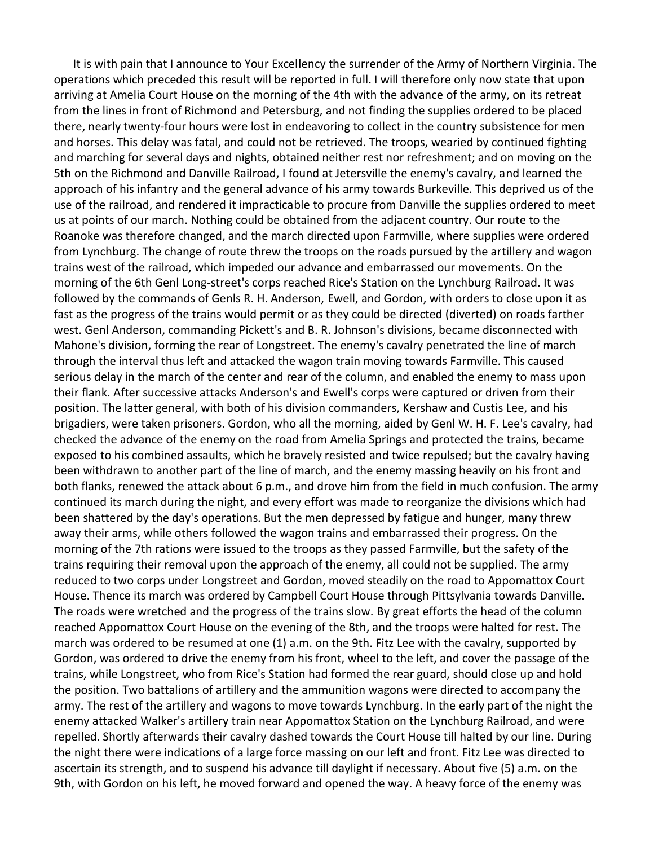It is with pain that I announce to Your Excellency the surrender of the Army of Northern Virginia. The operations which preceded this result will be reported in full. I will therefore only now state that upon arriving at Amelia Court House on the morning of the 4th with the advance of the army, on its retreat from the lines in front of Richmond and Petersburg, and not finding the supplies ordered to be placed there, nearly twenty-four hours were lost in endeavoring to collect in the country subsistence for men and horses. This delay was fatal, and could not be retrieved. The troops, wearied by continued fighting and marching for several days and nights, obtained neither rest nor refreshment; and on moving on the 5th on the Richmond and Danville Railroad, I found at Jetersville the enemy's cavalry, and learned the approach of his infantry and the general advance of his army towards Burkeville. This deprived us of the use of the railroad, and rendered it impracticable to procure from Danville the supplies ordered to meet us at points of our march. Nothing could be obtained from the adjacent country. Our route to the Roanoke was therefore changed, and the march directed upon Farmville, where supplies were ordered from Lynchburg. The change of route threw the troops on the roads pursued by the artillery and wagon trains west of the railroad, which impeded our advance and embarrassed our movements. On the morning of the 6th Genl Long-street's corps reached Rice's Station on the Lynchburg Railroad. It was followed by the commands of Genls R. H. Anderson, Ewell, and Gordon, with orders to close upon it as fast as the progress of the trains would permit or as they could be directed (diverted) on roads farther west. Genl Anderson, commanding Pickett's and B. R. Johnson's divisions, became disconnected with Mahone's division, forming the rear of Longstreet. The enemy's cavalry penetrated the line of march through the interval thus left and attacked the wagon train moving towards Farmville. This caused serious delay in the march of the center and rear of the column, and enabled the enemy to mass upon their flank. After successive attacks Anderson's and Ewell's corps were captured or driven from their position. The latter general, with both of his division commanders, Kershaw and Custis Lee, and his brigadiers, were taken prisoners. Gordon, who all the morning, aided by Genl W. H. F. Lee's cavalry, had checked the advance of the enemy on the road from Amelia Springs and protected the trains, became exposed to his combined assaults, which he bravely resisted and twice repulsed; but the cavalry having been withdrawn to another part of the line of march, and the enemy massing heavily on his front and both flanks, renewed the attack about 6 p.m., and drove him from the field in much confusion. The army continued its march during the night, and every effort was made to reorganize the divisions which had been shattered by the day's operations. But the men depressed by fatigue and hunger, many threw away their arms, while others followed the wagon trains and embarrassed their progress. On the morning of the 7th rations were issued to the troops as they passed Farmville, but the safety of the trains requiring their removal upon the approach of the enemy, all could not be supplied. The army reduced to two corps under Longstreet and Gordon, moved steadily on the road to Appomattox Court House. Thence its march was ordered by Campbell Court House through Pittsylvania towards Danville. The roads were wretched and the progress of the trains slow. By great efforts the head of the column reached Appomattox Court House on the evening of the 8th, and the troops were halted for rest. The march was ordered to be resumed at one (1) a.m. on the 9th. Fitz Lee with the cavalry, supported by Gordon, was ordered to drive the enemy from his front, wheel to the left, and cover the passage of the trains, while Longstreet, who from Rice's Station had formed the rear guard, should close up and hold the position. Two battalions of artillery and the ammunition wagons were directed to accompany the army. The rest of the artillery and wagons to move towards Lynchburg. In the early part of the night the enemy attacked Walker's artillery train near Appomattox Station on the Lynchburg Railroad, and were repelled. Shortly afterwards their cavalry dashed towards the Court House till halted by our line. During the night there were indications of a large force massing on our left and front. Fitz Lee was directed to ascertain its strength, and to suspend his advance till daylight if necessary. About five (5) a.m. on the 9th, with Gordon on his left, he moved forward and opened the way. A heavy force of the enemy was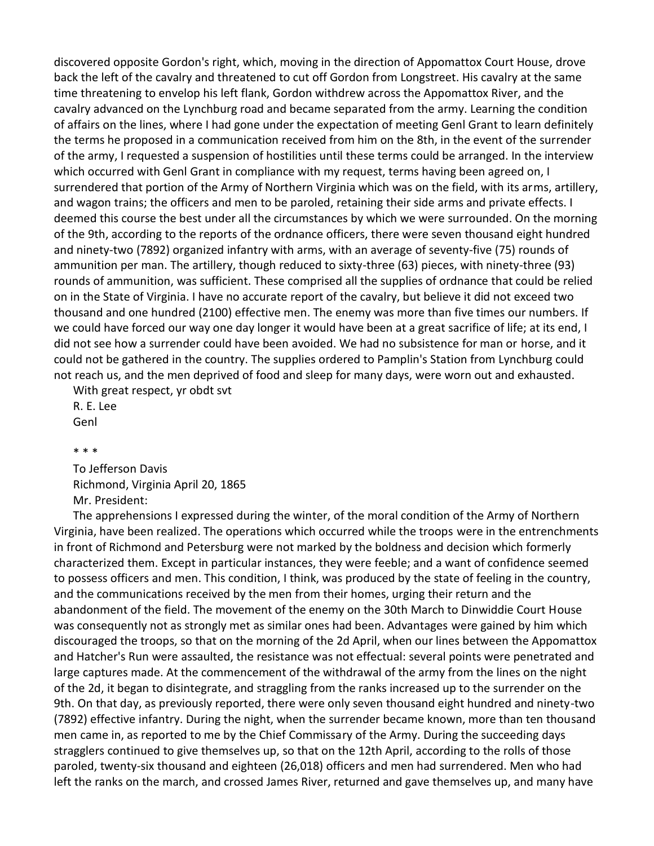discovered opposite Gordon's right, which, moving in the direction of Appomattox Court House, drove back the left of the cavalry and threatened to cut off Gordon from Longstreet. His cavalry at the same time threatening to envelop his left flank, Gordon withdrew across the Appomattox River, and the cavalry advanced on the Lynchburg road and became separated from the army. Learning the condition of affairs on the lines, where I had gone under the expectation of meeting Genl Grant to learn definitely the terms he proposed in a communication received from him on the 8th, in the event of the surrender of the army, I requested a suspension of hostilities until these terms could be arranged. In the interview which occurred with Genl Grant in compliance with my request, terms having been agreed on, I surrendered that portion of the Army of Northern Virginia which was on the field, with its arms, artillery, and wagon trains; the officers and men to be paroled, retaining their side arms and private effects. I deemed this course the best under all the circumstances by which we were surrounded. On the morning of the 9th, according to the reports of the ordnance officers, there were seven thousand eight hundred and ninety-two (7892) organized infantry with arms, with an average of seventy-five (75) rounds of ammunition per man. The artillery, though reduced to sixty-three (63) pieces, with ninety-three (93) rounds of ammunition, was sufficient. These comprised all the supplies of ordnance that could be relied on in the State of Virginia. I have no accurate report of the cavalry, but believe it did not exceed two thousand and one hundred (2100) effective men. The enemy was more than five times our numbers. If we could have forced our way one day longer it would have been at a great sacrifice of life; at its end, I did not see how a surrender could have been avoided. We had no subsistence for man or horse, and it could not be gathered in the country. The supplies ordered to Pamplin's Station from Lynchburg could not reach us, and the men deprived of food and sleep for many days, were worn out and exhausted.

With great respect, yr obdt svt R. E. Lee Genl

\* \* \*

To Jefferson Davis Richmond, Virginia April 20, 1865 Mr. President:

The apprehensions I expressed during the winter, of the moral condition of the Army of Northern Virginia, have been realized. The operations which occurred while the troops were in the entrenchments in front of Richmond and Petersburg were not marked by the boldness and decision which formerly characterized them. Except in particular instances, they were feeble; and a want of confidence seemed to possess officers and men. This condition, I think, was produced by the state of feeling in the country, and the communications received by the men from their homes, urging their return and the abandonment of the field. The movement of the enemy on the 30th March to Dinwiddie Court House was consequently not as strongly met as similar ones had been. Advantages were gained by him which discouraged the troops, so that on the morning of the 2d April, when our lines between the Appomattox and Hatcher's Run were assaulted, the resistance was not effectual: several points were penetrated and large captures made. At the commencement of the withdrawal of the army from the lines on the night of the 2d, it began to disintegrate, and straggling from the ranks increased up to the surrender on the 9th. On that day, as previously reported, there were only seven thousand eight hundred and ninety-two (7892) effective infantry. During the night, when the surrender became known, more than ten thousand men came in, as reported to me by the Chief Commissary of the Army. During the succeeding days stragglers continued to give themselves up, so that on the 12th April, according to the rolls of those paroled, twenty-six thousand and eighteen (26,018) officers and men had surrendered. Men who had left the ranks on the march, and crossed James River, returned and gave themselves up, and many have